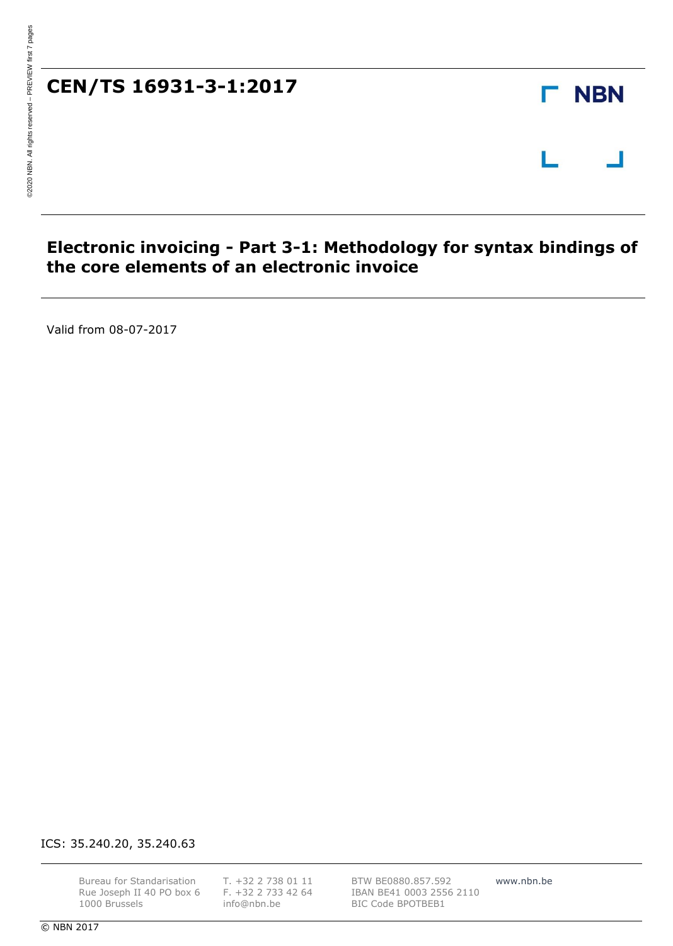## **CEN/TS 16931-3-1:2017**

## **Electronic invoicing - Part 3-1: Methodology for syntax bindings of the core elements of an electronic invoice**

Valid from 08-07-2017

ICS: 35.240.20, 35.240.63

Bureau for Standarisation Rue Joseph II 40 PO box 6 1000 Brussels

T. +32 2 738 01 11 F. +32 2 733 42 64 [info@nbn.be](mailto:info@nbn.be)

BTW BE0880.857.592 IBAN BE41 0003 2556 2110 BIC Code BPOTBEB1

www.nbn.be

**NBN** 

IT.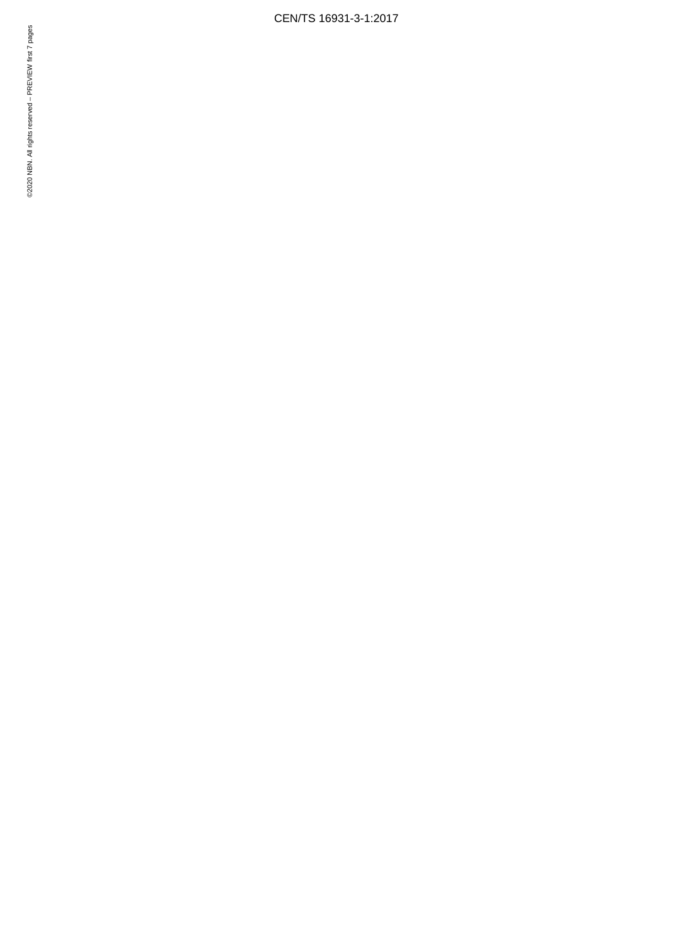@2020 NBN. All rights reserved - PREVIEW first 7 pages ©2020 NBN. All rights reserved – PREVIEW first 7 pages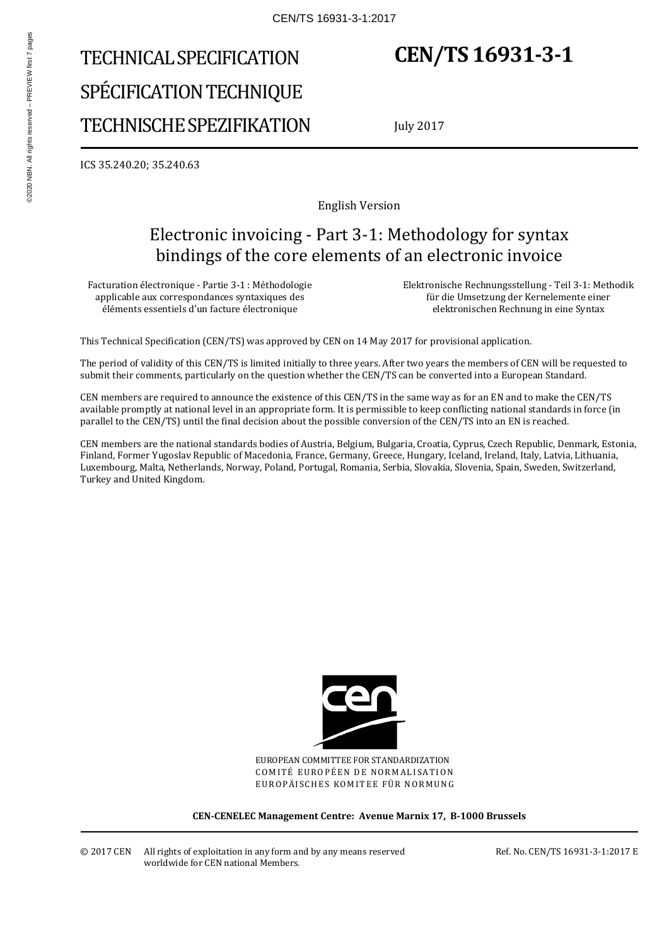# TECHNICAL SPECIFICATION SPÉCIFICATION TECHNIQUE TECHNISCHE SPEZIFIKATION

## **CEN/TS 16931-3-1**

July 2017

ICS 35.240.20; 35.240.63

English Version

## Electronic invoicing - Part 3-1: Methodology for syntax bindings of the core elements of an electronic invoice

Facturation électronique - Partie 3-1 : Méthodologie applicable aux correspondances syntaxiques des éléments essentiels d'un facture électronique

 Elektronische Rechnungsstellung - Teil 3-1: Methodik für die Umsetzung der Kernelemente einer elektronischen Rechnung in eine Syntax

This Technical Specification (CEN/TS) was approved by CEN on 14 May 2017 for provisional application.

The period of validity of this CEN/TS is limited initially to three years. After two years the members of CEN will be requested to submit their comments, particularly on the question whether the CEN/TS can be converted into a European Standard.

CEN members are required to announce the existence of this CEN/TS in the same way as for an EN and to make the CEN/TS available promptly at national level in an appropriate form. It is permissible to keep conflicting national standards in force (in parallel to the CEN/TS) until the final decision about the possible conversion of the CEN/TS into an EN is reached.

CEN members are the national standards bodies of Austria, Belgium, Bulgaria, Croatia, Cyprus, Czech Republic, Denmark, Estonia, Finland, Former Yugoslav Republic of Macedonia, France, Germany, Greece, Hungary, Iceland, Ireland, Italy, Latvia, Lithuania, Luxembourg, Malta, Netherlands, Norway, Poland, Portugal, Romania, Serbia, Slovakia, Slovenia, Spain, Sweden, Switzerland, Turkey and United Kingdom.



EUROPEAN COMMITTEE FOR STANDARDIZATION COMITÉ EUROPÉEN DE NORMALISATION EUROPÄISCHES KOMITEE FÜR NORMUNG

**CEN-CENELEC Management Centre: Avenue Marnix 17, B-1000 Brussels** 

© 2017 CEN All rights of exploitation in any form and by any means reserved worldwide for CEN national Members.

Ref. No. CEN/TS 16931-3-1:2017 E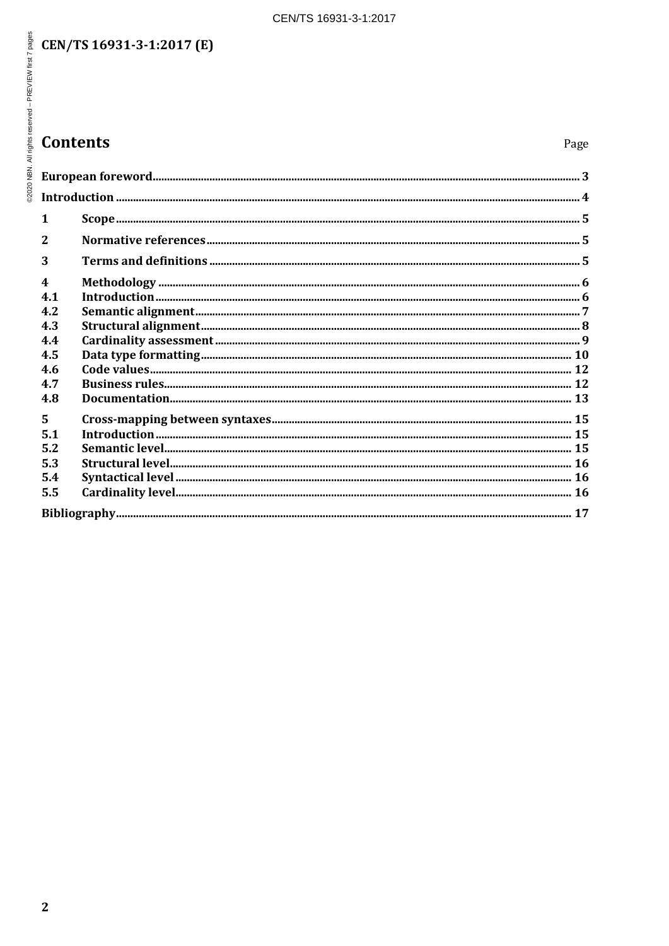#### CEN/TS 16931-3-1:2017

## CEN/TS 16931-3-1:2017 (E)

## **Contents**

| $\mathbf{1}$            |                                                                                                                                                                                                                                                                                                                                                                                            |  |  |
|-------------------------|--------------------------------------------------------------------------------------------------------------------------------------------------------------------------------------------------------------------------------------------------------------------------------------------------------------------------------------------------------------------------------------------|--|--|
| $\mathbf{2}$            |                                                                                                                                                                                                                                                                                                                                                                                            |  |  |
| 3                       |                                                                                                                                                                                                                                                                                                                                                                                            |  |  |
| $\overline{\mathbf{4}}$ | ${\bf Methodology}\textrm{ }\textrm{ }\textrm{ }\textrm{ }\textrm{ }\textrm{ }\textrm{ }\textrm{ }\textrm{ }\textrm{ }\textrm{ }\textrm{ }\textrm{ }\textrm{ }\textrm{ }\textrm{ }\textrm{ }\textrm{ }\textrm{ }\textrm{ }\textrm{ }\textrm{ }\textrm{ }\textrm{ }\textrm{ }\textrm{ }\textrm{ }\textrm{ }\textrm{ }\textrm{ }\textrm{ }\textrm{ }\textrm{ }\textrm{ }\textrm{ }\textrm{ $ |  |  |
| 4.1                     |                                                                                                                                                                                                                                                                                                                                                                                            |  |  |
| 4.2                     |                                                                                                                                                                                                                                                                                                                                                                                            |  |  |
| 4.3                     |                                                                                                                                                                                                                                                                                                                                                                                            |  |  |
| 4.4                     |                                                                                                                                                                                                                                                                                                                                                                                            |  |  |
| 4.5                     |                                                                                                                                                                                                                                                                                                                                                                                            |  |  |
| 4.6                     |                                                                                                                                                                                                                                                                                                                                                                                            |  |  |
| 4.7                     |                                                                                                                                                                                                                                                                                                                                                                                            |  |  |
| 4.8                     |                                                                                                                                                                                                                                                                                                                                                                                            |  |  |
| 5                       |                                                                                                                                                                                                                                                                                                                                                                                            |  |  |
| 5.1                     |                                                                                                                                                                                                                                                                                                                                                                                            |  |  |
| 5.2                     |                                                                                                                                                                                                                                                                                                                                                                                            |  |  |
| 5.3                     |                                                                                                                                                                                                                                                                                                                                                                                            |  |  |
| 5.4                     |                                                                                                                                                                                                                                                                                                                                                                                            |  |  |
| 5.5                     |                                                                                                                                                                                                                                                                                                                                                                                            |  |  |
|                         |                                                                                                                                                                                                                                                                                                                                                                                            |  |  |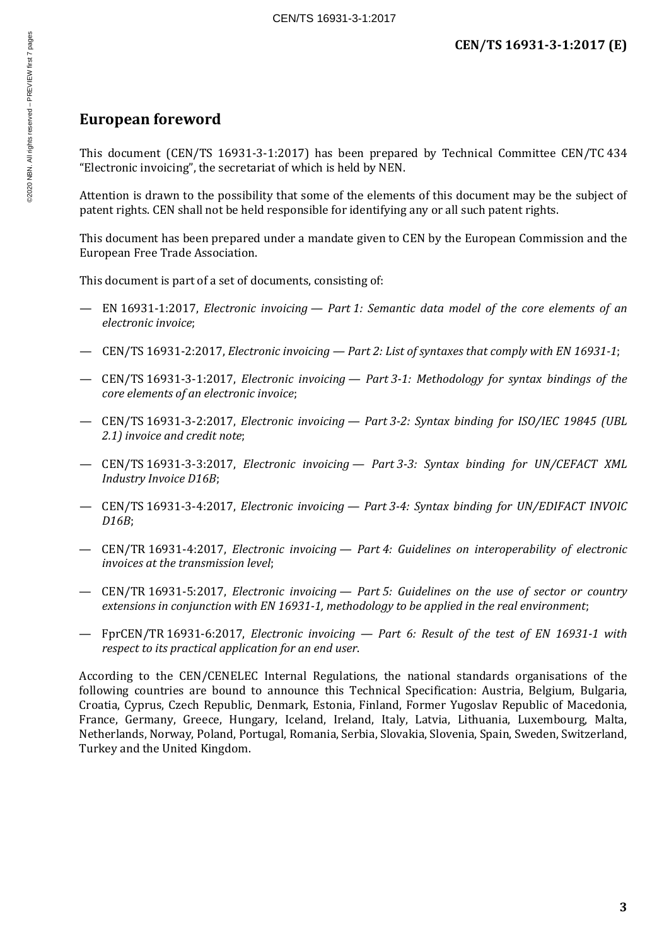## **European foreword**

This document (CEN/TS 16931-3-1:2017) has been prepared by Technical Committee CEN/TC 434 "Electronic invoicing", the secretariat of which is held by NEN.

Attention is drawn to the possibility that some of the elements of this document may be the subject of patent rights. CEN shall not be held responsible for identifying any or all such patent rights.

This document has been prepared under a mandate given to CEN by the European Commission and the European Free Trade Association.

This document is part of a set of documents, consisting of:

- EN 16931-1:2017, *Electronic invoicing — Part 1: Semantic data model of the core elements of an electronic invoice*;
- CEN/TS 16931-2:2017, *Electronic invoicing — Part 2: List of syntaxes that comply with EN 16931-1*;
- CEN/TS 16931-3-1:2017, *Electronic invoicing — Part 3-1: Methodology for syntax bindings of the core elements of an electronic invoice*;
- CEN/TS 16931-3-2:2017, *Electronic invoicing — Part 3-2: Syntax binding for ISO/IEC 19845 (UBL 2.1) invoice and credit note*;
- CEN/TS 16931-3-3:2017, *Electronic invoicing — Part 3-3: Syntax binding for UN/CEFACT XML Industry Invoice D16B*;
- CEN/TS 16931-3-4:2017, *Electronic invoicing — Part 3-4: Syntax binding for UN/EDIFACT INVOIC D16B*;
- CEN/TR 16931-4:2017, *Electronic invoicing — Part 4: Guidelines on interoperability of electronic invoices at the transmission level*;
- CEN/TR 16931-5:2017, *Electronic invoicing — Part 5: Guidelines on the use of sector or country extensions in conjunction with EN 16931-1, methodology to be applied in the real environment*;
- FprCEN/TR 16931-6:2017, *Electronic invoicing — Part 6: Result of the test of EN 16931-1 with respect to its practical application for an end user*.

According to the CEN/CENELEC Internal Regulations, the national standards organisations of the following countries are bound to announce this Technical Specification: Austria, Belgium, Bulgaria, Croatia, Cyprus, Czech Republic, Denmark, Estonia, Finland, Former Yugoslav Republic of Macedonia, France, Germany, Greece, Hungary, Iceland, Ireland, Italy, Latvia, Lithuania, Luxembourg, Malta, Netherlands, Norway, Poland, Portugal, Romania, Serbia, Slovakia, Slovenia, Spain, Sweden, Switzerland, Turkey and the United Kingdom.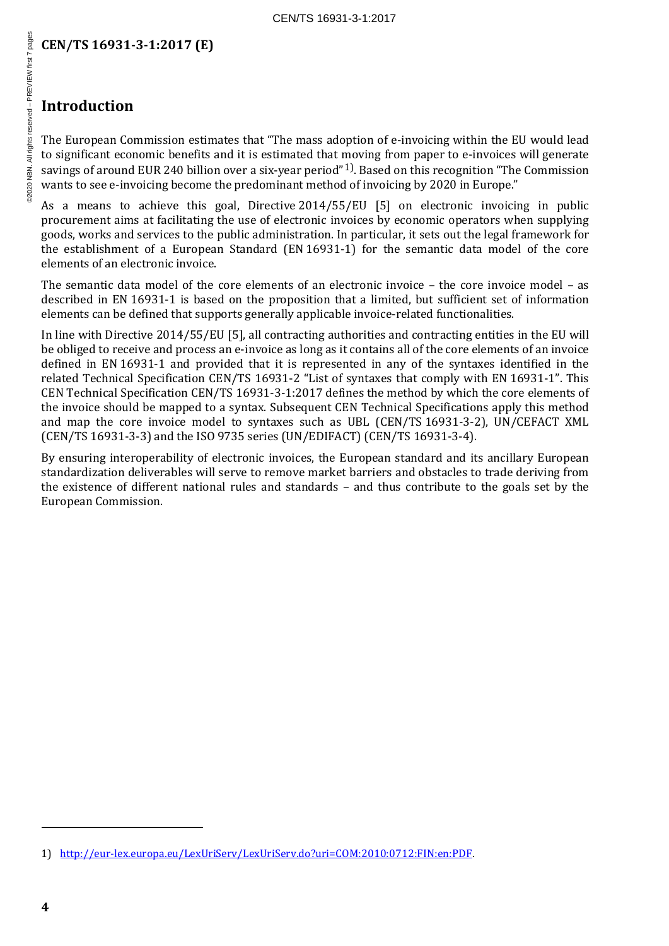## **Introduction**

The European Commission estimates that "The mass adoption of e-invoicing within the EU would lead to significant economic benefits and it is estimated that moving from paper to e-invoices will generate savings of around EUR 240 billion over a six-year period"<sup>[1](#page--1-18)</sup>). Based on this recognition "The Commission" wants to see e-invoicing become the predominant method of invoicing by 2020 in Europe."

As a means to achieve this goal, Directive 2014/55/EU [5] on electronic invoicing in public procurement aims at facilitating the use of electronic invoices by economic operators when supplying goods, works and services to the public administration. In particular, it sets out the legal framework for the establishment of a European Standard (EN 16931-1) for the semantic data model of the core elements of an electronic invoice.

The semantic data model of the core elements of an electronic invoice – the core invoice model – as described in EN 16931-1 is based on the proposition that a limited, but sufficient set of information elements can be defined that supports generally applicable invoice-related functionalities.

In line with Directive 2014/55/EU [5], all contracting authorities and contracting entities in the EU will be obliged to receive and process an e-invoice as long as it contains all of the core elements of an invoice defined in EN 16931-1 and provided that it is represented in any of the syntaxes identified in the related Technical Specification CEN/TS 16931-2 "List of syntaxes that comply with EN 16931-1". This CEN Technical Specification CEN/TS 16931-3-1:2017 defines the method by which the core elements of the invoice should be mapped to a syntax. Subsequent CEN Technical Specifications apply this method and map the core invoice model to syntaxes such as UBL (CEN/TS 16931-3-2), UN/CEFACT XML (CEN/TS 16931-3-3) and the ISO 9735 series (UN/EDIFACT) (CEN/TS 16931-3-4).

By ensuring interoperability of electronic invoices, the European standard and its ancillary European standardization deliverables will serve to remove market barriers and obstacles to trade deriving from the existence of different national rules and standards – and thus contribute to the goals set by the European Commission.

j

<sup>1)</sup> [http://eur-lex.europa.eu/LexUriServ/LexUriServ.do?uri=COM:2010:0712:FIN:en:PDF.](http://eur-lex.europa.eu/LexUriServ/LexUriServ.do?uri=COM:2010:0712:FIN:en:PDF)